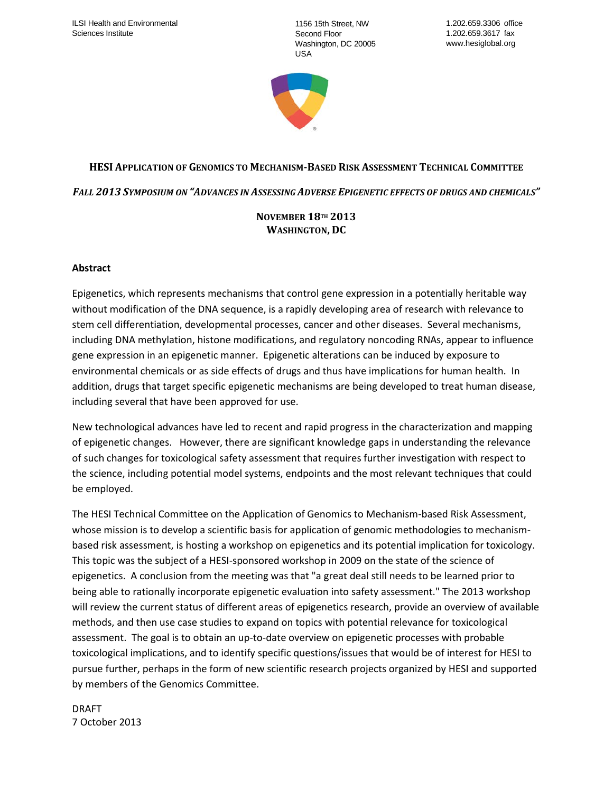1156 15th Street, NW Second Floor Washington, DC 20005 USA



# **HESI APPLICATION OF GENOMICS TO MECHANISM-BASED RISK ASSESSMENT TECHNICAL COMMITTEE**

*FALL 2013 SYMPOSIUM ON "ADVANCES IN ASSESSING ADVERSE EPIGENETIC EFFECTS OF DRUGS AND CHEMICALS"*

### **NOVEMBER 18TH 2013 WASHINGTON, DC**

#### **Abstract**

Epigenetics, which represents mechanisms that control gene expression in a potentially heritable way without modification of the DNA sequence, is a rapidly developing area of research with relevance to stem cell differentiation, developmental processes, cancer and other diseases. Several mechanisms, including DNA methylation, histone modifications, and regulatory noncoding RNAs, appear to influence gene expression in an epigenetic manner. Epigenetic alterations can be induced by exposure to environmental chemicals or as side effects of drugs and thus have implications for human health. In addition, drugs that target specific epigenetic mechanisms are being developed to treat human disease, including several that have been approved for use.

New technological advances have led to recent and rapid progress in the characterization and mapping of epigenetic changes. However, there are significant knowledge gaps in understanding the relevance of such changes for toxicological safety assessment that requires further investigation with respect to the science, including potential model systems, endpoints and the most relevant techniques that could be employed.

The HESI Technical Committee on the Application of Genomics to Mechanism-based Risk Assessment, whose mission is to develop a scientific basis for application of genomic methodologies to mechanismbased risk assessment, is hosting a workshop on epigenetics and its potential implication for toxicology. This topic was the subject of a HESI-sponsored workshop in 2009 on the state of the science of epigenetics. A conclusion from the meeting was that "a great deal still needs to be learned prior to being able to rationally incorporate epigenetic evaluation into safety assessment." The 2013 workshop will review the current status of different areas of epigenetics research, provide an overview of available methods, and then use case studies to expand on topics with potential relevance for toxicological assessment. The goal is to obtain an up-to-date overview on epigenetic processes with probable toxicological implications, and to identify specific questions/issues that would be of interest for HESI to pursue further, perhaps in the form of new scientific research projects organized by HESI and supported by members of the Genomics Committee.

DRAFT 7 October 2013